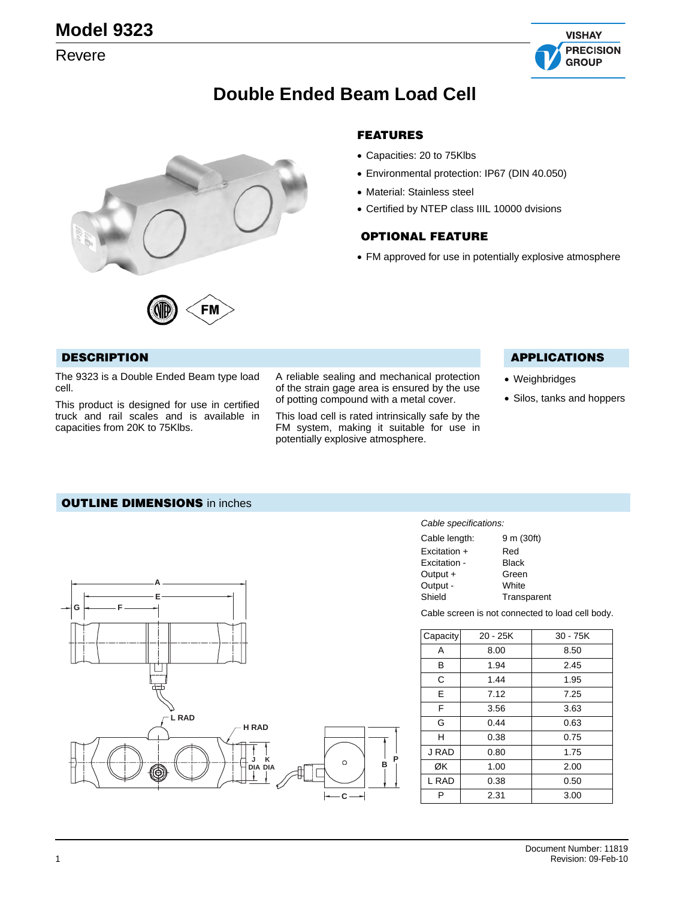## Revere



## **Double Ended Beam Load Cell**



FM

#### **FEATURES**

- Capacities: 20 to 75Klbs
- Environmental protection: IP67 (DIN 40.050)
- Material: Stainless steel
- Certified by NTEP class IIIL 10000 dvisions

#### **OPTIONAL FEATURE**

• FM approved for use in potentially explosive atmosphere

#### **DESCRIPTION**

The 9323 is a Double Ended Beam type load cell.

This product is designed for use in certified truck and rail scales and is available in capacities from 20K to 75Klbs.

A reliable sealing and mechanical protection of the strain gage area is ensured by the use of potting compound with a metal cover.

This load cell is rated intrinsically safe by the FM system, making it suitable for use in potentially explosive atmosphere.

#### **APPLICATIONS**

- Weighbridges
- Silos, tanks and hoppers

#### **OUTLINE DIMENSIONS** in inches



#### *Cable specifications:*

| Cable length: | 9 m (30ft)  |
|---------------|-------------|
| Excitation +  | Red         |
| Excitation -  | Black       |
| Output +      | Green       |
| Output -      | White       |
| Shield        | Transparent |
|               |             |

Cable screen is not connected to load cell body.

| Capacity | 20 - 25K | 30 - 75K |  |
|----------|----------|----------|--|
| A        | 8.00     | 8.50     |  |
| в        | 1.94     | 2.45     |  |
| C        | 1.44     | 1.95     |  |
| E        | 7.12     | 7.25     |  |
| F        | 3.56     | 3.63     |  |
| G        | 0.44     | 0.63     |  |
| н        | 0.38     | 0.75     |  |
| J RAD    | 0.80     | 1.75     |  |
| ØK       | 1.00     | 2.00     |  |
| L RAD    | 0.38     | 0.50     |  |
| P        | 2.31     | 3.00     |  |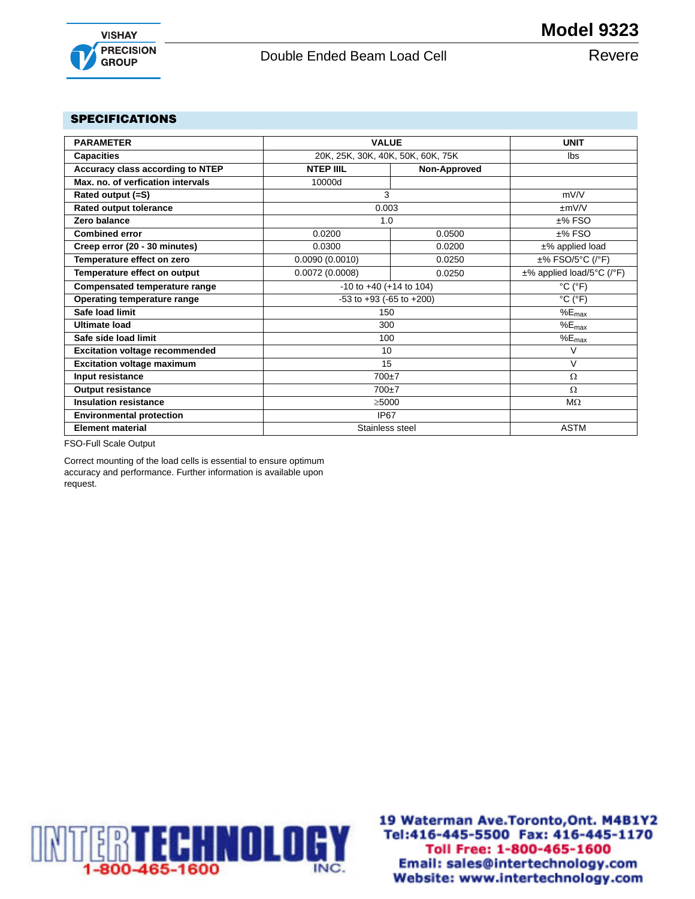

### Double Ended Beam Load Cell **Revere**

#### **SPECIFICATIONS**

| <b>PARAMETER</b>                      | <b>VALUE</b>                       | <b>UNIT</b>                       |                              |
|---------------------------------------|------------------------------------|-----------------------------------|------------------------------|
| <b>Capacities</b>                     |                                    |                                   | <b>lbs</b>                   |
|                                       |                                    | 20K, 25K, 30K, 40K, 50K, 60K, 75K |                              |
| Accuracy class according to NTEP      | <b>NTEP IIIL</b>                   | Non-Approved                      |                              |
| Max, no, of verfication intervals     | 10000d                             |                                   |                              |
| Rated output (=S)                     | 3                                  |                                   | mV/V                         |
| <b>Rated output tolerance</b>         | 0.003                              |                                   | $\pm$ mV/V                   |
| Zero balance                          | 1.0                                |                                   | $±%$ FSO                     |
| <b>Combined error</b>                 | 0.0200                             | 0.0500                            | $±%$ FSO                     |
| Creep error (20 - 30 minutes)         | 0.0300                             | 0.0200                            | $±%$ applied load            |
| Temperature effect on zero            | 0.0090(0.0010)                     | 0.0250                            | ±% FSO/5°C (/°F)             |
| Temperature effect on output          | 0.0072(0.0008)                     | 0.0250                            | ±% applied load/5°C (/°F)    |
| <b>Compensated temperature range</b>  | $-10$ to $+40$ (+14 to 104)        |                                   | $^{\circ}$ C ( $^{\circ}$ F) |
| Operating temperature range           | $-53$ to $+93$ ( $-65$ to $+200$ ) |                                   | $^{\circ}$ C ( $^{\circ}$ F) |
| Safe load limit                       | 150                                |                                   | $%E_{max}$                   |
| Ultimate load                         | 300                                |                                   | $%E_{max}$                   |
| Safe side load limit                  | 100                                |                                   | $%E_{max}$                   |
| <b>Excitation voltage recommended</b> | 10                                 |                                   | $\vee$                       |
| <b>Excitation voltage maximum</b>     | 15                                 |                                   | $\vee$                       |
| Input resistance                      | 700±7                              |                                   | $\Omega$                     |
| <b>Output resistance</b>              | $700+7$                            |                                   | $\Omega$                     |
| <b>Insulation resistance</b>          | >5000                              |                                   | $M\Omega$                    |
| <b>Environmental protection</b>       | <b>IP67</b>                        |                                   |                              |
| <b>Element material</b>               | Stainless steel                    |                                   | <b>ASTM</b>                  |

FSO-Full Scale Output

Correct mounting of the load cells is essential to ensure optimum accuracy and performance. Further information is available upon request.



19 Waterman Ave. Toronto, Ont. M4B1Y2 Tel:416-445-5500 Fax: 416-445-1170 Toll Free: 1-800-465-1600 INC. Email: sales@intertechnology.com Website: www.intertechnology.com